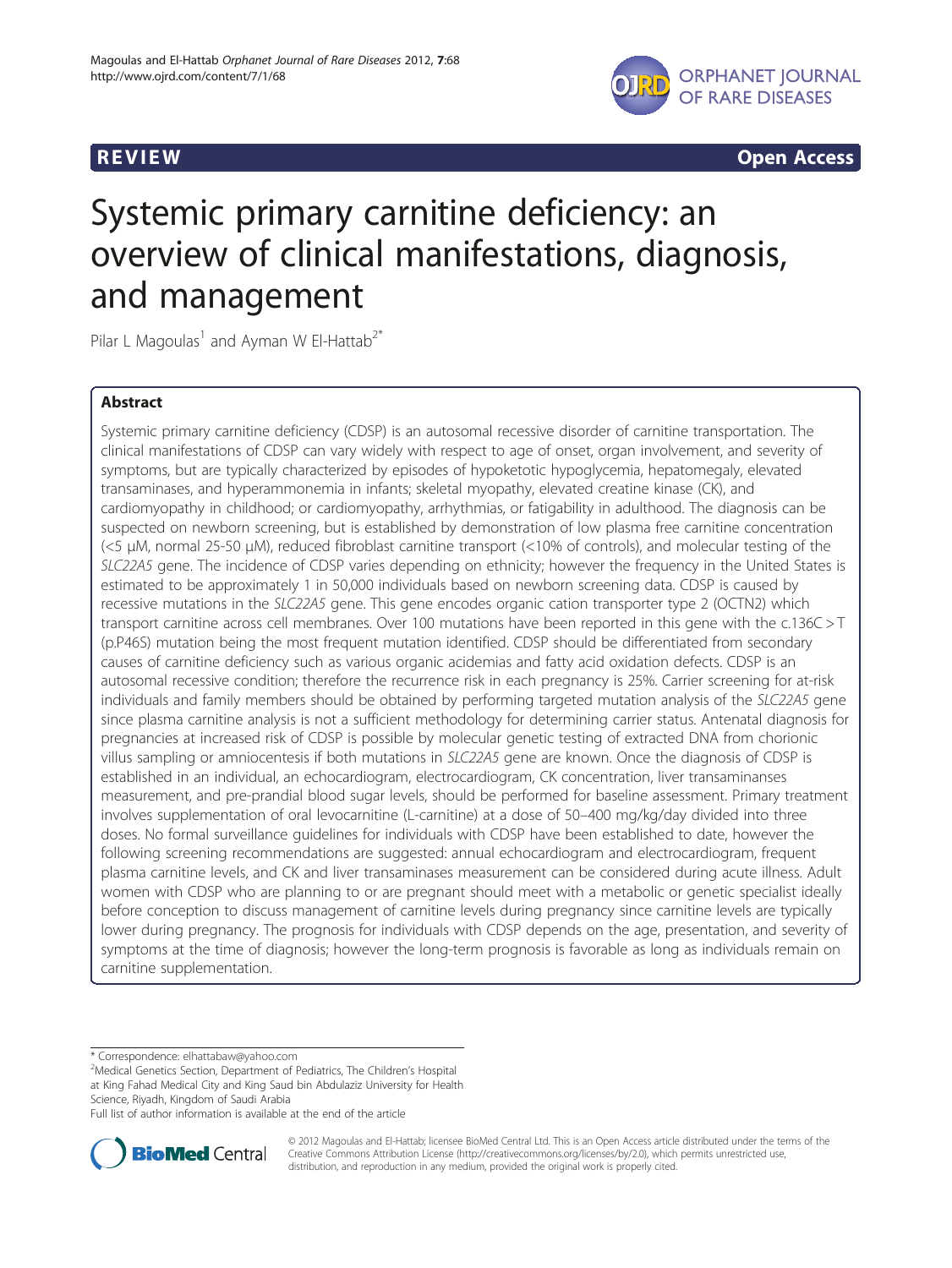



**REVIEW CONSTRUCTION CONSTRUCTION CONSTRUCTS** 

# Systemic primary carnitine deficiency: an overview of clinical manifestations, diagnosis, and management

Pilar L Magoulas<sup>1</sup> and Ayman W El-Hattab<sup>2\*</sup>

# Abstract

Systemic primary carnitine deficiency (CDSP) is an autosomal recessive disorder of carnitine transportation. The clinical manifestations of CDSP can vary widely with respect to age of onset, organ involvement, and severity of symptoms, but are typically characterized by episodes of hypoketotic hypoglycemia, hepatomegaly, elevated transaminases, and hyperammonemia in infants; skeletal myopathy, elevated creatine kinase (CK), and cardiomyopathy in childhood; or cardiomyopathy, arrhythmias, or fatigability in adulthood. The diagnosis can be suspected on newborn screening, but is established by demonstration of low plasma free carnitine concentration (<5 μM, normal 25-50 μM), reduced fibroblast carnitine transport (<10% of controls), and molecular testing of the SLC22A5 gene. The incidence of CDSP varies depending on ethnicity; however the frequency in the United States is estimated to be approximately 1 in 50,000 individuals based on newborn screening data. CDSP is caused by recessive mutations in the SLC22A5 gene. This gene encodes organic cation transporter type 2 (OCTN2) which transport carnitine across cell membranes. Over 100 mutations have been reported in this gene with the c.136C > T (p.P46S) mutation being the most frequent mutation identified. CDSP should be differentiated from secondary causes of carnitine deficiency such as various organic acidemias and fatty acid oxidation defects. CDSP is an autosomal recessive condition; therefore the recurrence risk in each pregnancy is 25%. Carrier screening for at-risk individuals and family members should be obtained by performing targeted mutation analysis of the SLC22A5 gene since plasma carnitine analysis is not a sufficient methodology for determining carrier status. Antenatal diagnosis for pregnancies at increased risk of CDSP is possible by molecular genetic testing of extracted DNA from chorionic villus sampling or amniocentesis if both mutations in SLC22A5 gene are known. Once the diagnosis of CDSP is established in an individual, an echocardiogram, electrocardiogram, CK concentration, liver transaminanses measurement, and pre-prandial blood sugar levels, should be performed for baseline assessment. Primary treatment involves supplementation of oral levocarnitine (L-carnitine) at a dose of 50–400 mg/kg/day divided into three doses. No formal surveillance guidelines for individuals with CDSP have been established to date, however the following screening recommendations are suggested: annual echocardiogram and electrocardiogram, frequent plasma carnitine levels, and CK and liver transaminases measurement can be considered during acute illness. Adult women with CDSP who are planning to or are pregnant should meet with a metabolic or genetic specialist ideally before conception to discuss management of carnitine levels during pregnancy since carnitine levels are typically lower during pregnancy. The prognosis for individuals with CDSP depends on the age, presentation, and severity of symptoms at the time of diagnosis; however the long-term prognosis is favorable as long as individuals remain on carnitine supplementation.

\* Correspondence: [elhattabaw@yahoo.com](mailto:elhattabaw@yahoo.com) <sup>2</sup>

Medical Genetics Section, Department of Pediatrics, The Children's Hospital at King Fahad Medical City and King Saud bin Abdulaziz University for Health Science, Riyadh, Kingdom of Saudi Arabia

Full list of author information is available at the end of the article



© 2012 Magoulas and El-Hattab; licensee BioMed Central Ltd. This is an Open Access article distributed under the terms of the Creative Commons Attribution License (<http://creativecommons.org/licenses/by/2.0>), which permits unrestricted use, distribution, and reproduction in any medium, provided the original work is properly cited.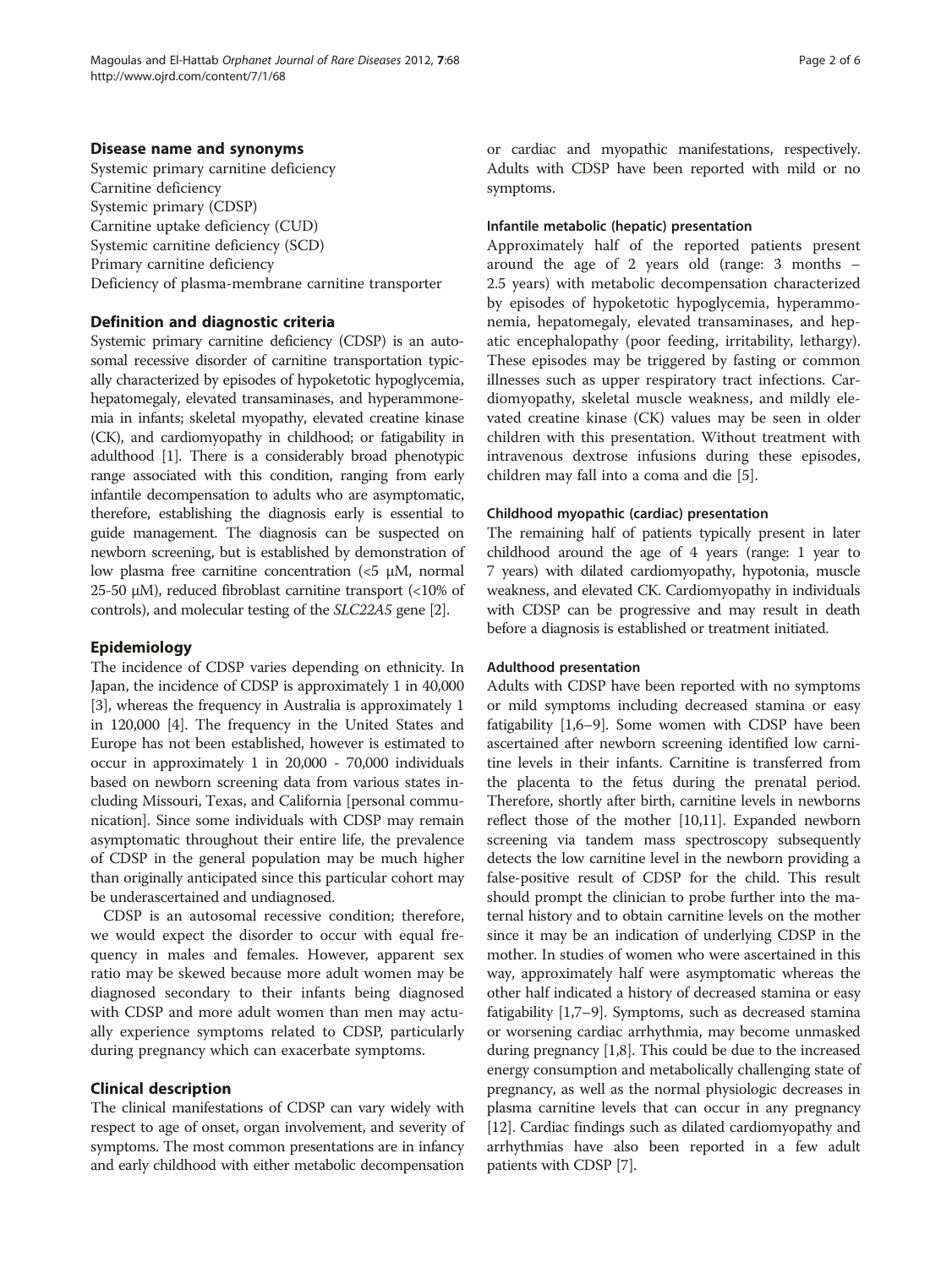## Disease name and synonyms

Systemic primary carnitine deficiency Carnitine deficiency Systemic primary (CDSP) Carnitine uptake deficiency (CUD) Systemic carnitine deficiency (SCD) Primary carnitine deficiency Deficiency of plasma-membrane carnitine transporter

## Definition and diagnostic criteria

Systemic primary carnitine deficiency (CDSP) is an autosomal recessive disorder of carnitine transportation typically characterized by episodes of hypoketotic hypoglycemia, hepatomegaly, elevated transaminases, and hyperammonemia in infants; skeletal myopathy, elevated creatine kinase (CK), and cardiomyopathy in childhood; or fatigability in adulthood [\[1\]](#page-5-0). There is a considerably broad phenotypic range associated with this condition, ranging from early infantile decompensation to adults who are asymptomatic, therefore, establishing the diagnosis early is essential to guide management. The diagnosis can be suspected on newborn screening, but is established by demonstration of low plasma free carnitine concentration  $\langle$  <5 μM, normal 25-50  $\mu$ M), reduced fibroblast carnitine transport (<10% of controls), and molecular testing of the SLC22A5 gene [[2](#page-5-0)].

## Epidemiology

The incidence of CDSP varies depending on ethnicity. In Japan, the incidence of CDSP is approximately 1 in 40,000 [[3\]](#page-5-0), whereas the frequency in Australia is approximately 1 in 120,000 [[4](#page-5-0)]. The frequency in the United States and Europe has not been established, however is estimated to occur in approximately 1 in 20,000 - 70,000 individuals based on newborn screening data from various states including Missouri, Texas, and California [personal communication]. Since some individuals with CDSP may remain asymptomatic throughout their entire life, the prevalence of CDSP in the general population may be much higher than originally anticipated since this particular cohort may be underascertained and undiagnosed.

CDSP is an autosomal recessive condition; therefore, we would expect the disorder to occur with equal frequency in males and females. However, apparent sex ratio may be skewed because more adult women may be diagnosed secondary to their infants being diagnosed with CDSP and more adult women than men may actually experience symptoms related to CDSP, particularly during pregnancy which can exacerbate symptoms.

#### Clinical description

The clinical manifestations of CDSP can vary widely with respect to age of onset, organ involvement, and severity of symptoms. The most common presentations are in infancy and early childhood with either metabolic decompensation or cardiac and myopathic manifestations, respectively. Adults with CDSP have been reported with mild or no symptoms.

#### Infantile metabolic (hepatic) presentation

Approximately half of the reported patients present around the age of 2 years old (range: 3 months – 2.5 years) with metabolic decompensation characterized by episodes of hypoketotic hypoglycemia, hyperammonemia, hepatomegaly, elevated transaminases, and hepatic encephalopathy (poor feeding, irritability, lethargy). These episodes may be triggered by fasting or common illnesses such as upper respiratory tract infections. Cardiomyopathy, skeletal muscle weakness, and mildly elevated creatine kinase (CK) values may be seen in older children with this presentation. Without treatment with intravenous dextrose infusions during these episodes, children may fall into a coma and die [\[5](#page-5-0)].

#### Childhood myopathic (cardiac) presentation

The remaining half of patients typically present in later childhood around the age of 4 years (range: 1 year to 7 years) with dilated cardiomyopathy, hypotonia, muscle weakness, and elevated CK. Cardiomyopathy in individuals with CDSP can be progressive and may result in death before a diagnosis is established or treatment initiated.

#### Adulthood presentation

Adults with CDSP have been reported with no symptoms or mild symptoms including decreased stamina or easy fatigability [[1,6](#page-5-0)–[9\]](#page-5-0). Some women with CDSP have been ascertained after newborn screening identified low carnitine levels in their infants. Carnitine is transferred from the placenta to the fetus during the prenatal period. Therefore, shortly after birth, carnitine levels in newborns reflect those of the mother [[10,11](#page-5-0)]. Expanded newborn screening via tandem mass spectroscopy subsequently detects the low carnitine level in the newborn providing a false-positive result of CDSP for the child. This result should prompt the clinician to probe further into the maternal history and to obtain carnitine levels on the mother since it may be an indication of underlying CDSP in the mother. In studies of women who were ascertained in this way, approximately half were asymptomatic whereas the other half indicated a history of decreased stamina or easy fatigability [\[1,7](#page-5-0)–[9\]](#page-5-0). Symptoms, such as decreased stamina or worsening cardiac arrhythmia, may become unmasked during pregnancy [[1,8](#page-5-0)]. This could be due to the increased energy consumption and metabolically challenging state of pregnancy, as well as the normal physiologic decreases in plasma carnitine levels that can occur in any pregnancy [[12](#page-5-0)]. Cardiac findings such as dilated cardiomyopathy and arrhythmias have also been reported in a few adult patients with CDSP [[7](#page-5-0)].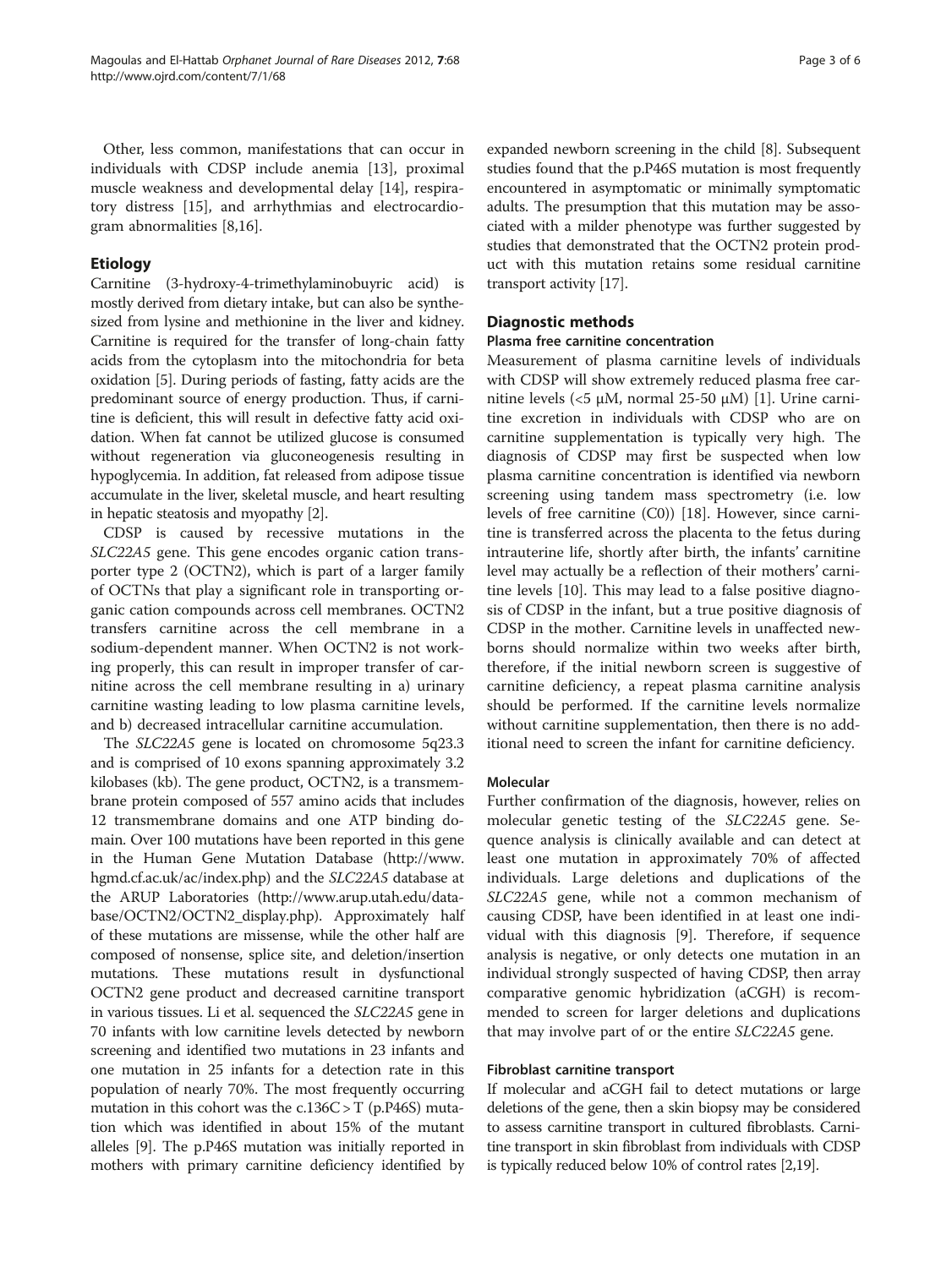Other, less common, manifestations that can occur in individuals with CDSP include anemia [\[13](#page-5-0)], proximal muscle weakness and developmental delay [\[14](#page-5-0)], respiratory distress [[15](#page-5-0)], and arrhythmias and electrocardiogram abnormalities [[8,16\]](#page-5-0).

## Etiology

Carnitine (3-hydroxy-4-trimethylaminobuyric acid) is mostly derived from dietary intake, but can also be synthesized from lysine and methionine in the liver and kidney. Carnitine is required for the transfer of long-chain fatty acids from the cytoplasm into the mitochondria for beta oxidation [\[5](#page-5-0)]. During periods of fasting, fatty acids are the predominant source of energy production. Thus, if carnitine is deficient, this will result in defective fatty acid oxidation. When fat cannot be utilized glucose is consumed without regeneration via gluconeogenesis resulting in hypoglycemia. In addition, fat released from adipose tissue accumulate in the liver, skeletal muscle, and heart resulting in hepatic steatosis and myopathy [\[2](#page-5-0)].

CDSP is caused by recessive mutations in the SLC22A5 gene. This gene encodes organic cation transporter type 2 (OCTN2), which is part of a larger family of OCTNs that play a significant role in transporting organic cation compounds across cell membranes. OCTN2 transfers carnitine across the cell membrane in a sodium-dependent manner. When OCTN2 is not working properly, this can result in improper transfer of carnitine across the cell membrane resulting in a) urinary carnitine wasting leading to low plasma carnitine levels, and b) decreased intracellular carnitine accumulation.

The SLC22A5 gene is located on chromosome 5q23.3 and is comprised of 10 exons spanning approximately 3.2 kilobases (kb). The gene product, OCTN2, is a transmembrane protein composed of 557 amino acids that includes 12 transmembrane domains and one ATP binding domain. Over 100 mutations have been reported in this gene in the Human Gene Mutation Database ([http://www.](http://www.hgmd.cf.ac.uk/ac/index.php) [hgmd.cf.ac.uk/ac/index.php](http://www.hgmd.cf.ac.uk/ac/index.php)) and the SLC22A5 database at the ARUP Laboratories [\(http://www.arup.utah.edu/data](http://www.arup.utah.edu/database/OCTN2/OCTN2_display.php)[base/OCTN2/OCTN2\\_display.php](http://www.arup.utah.edu/database/OCTN2/OCTN2_display.php)). Approximately half of these mutations are missense, while the other half are composed of nonsense, splice site, and deletion/insertion mutations. These mutations result in dysfunctional OCTN2 gene product and decreased carnitine transport in various tissues. Li et al. sequenced the SLC22A5 gene in 70 infants with low carnitine levels detected by newborn screening and identified two mutations in 23 infants and one mutation in 25 infants for a detection rate in this population of nearly 70%. The most frequently occurring mutation in this cohort was the  $c.136C > T$  (p.P46S) mutation which was identified in about 15% of the mutant alleles [[9](#page-5-0)]. The p.P46S mutation was initially reported in mothers with primary carnitine deficiency identified by

expanded newborn screening in the child [\[8\]](#page-5-0). Subsequent studies found that the p.P46S mutation is most frequently encountered in asymptomatic or minimally symptomatic adults. The presumption that this mutation may be associated with a milder phenotype was further suggested by studies that demonstrated that the OCTN2 protein product with this mutation retains some residual carnitine transport activity [\[17\]](#page-5-0).

## Diagnostic methods

## Plasma free carnitine concentration

Measurement of plasma carnitine levels of individuals with CDSP will show extremely reduced plasma free car-nitine levels (<5 μM, normal 25-50 μM) [[1\]](#page-5-0). Urine carnitine excretion in individuals with CDSP who are on carnitine supplementation is typically very high. The diagnosis of CDSP may first be suspected when low plasma carnitine concentration is identified via newborn screening using tandem mass spectrometry (i.e. low levels of free carnitine (C0)) [\[18](#page-5-0)]. However, since carnitine is transferred across the placenta to the fetus during intrauterine life, shortly after birth, the infants' carnitine level may actually be a reflection of their mothers' carnitine levels [\[10](#page-5-0)]. This may lead to a false positive diagnosis of CDSP in the infant, but a true positive diagnosis of CDSP in the mother. Carnitine levels in unaffected newborns should normalize within two weeks after birth, therefore, if the initial newborn screen is suggestive of carnitine deficiency, a repeat plasma carnitine analysis should be performed. If the carnitine levels normalize without carnitine supplementation, then there is no additional need to screen the infant for carnitine deficiency.

## Molecular

Further confirmation of the diagnosis, however, relies on molecular genetic testing of the SLC22A5 gene. Sequence analysis is clinically available and can detect at least one mutation in approximately 70% of affected individuals. Large deletions and duplications of the SLC22A5 gene, while not a common mechanism of causing CDSP, have been identified in at least one individual with this diagnosis [[9\]](#page-5-0). Therefore, if sequence analysis is negative, or only detects one mutation in an individual strongly suspected of having CDSP, then array comparative genomic hybridization (aCGH) is recommended to screen for larger deletions and duplications that may involve part of or the entire SLC22A5 gene.

# Fibroblast carnitine transport

If molecular and aCGH fail to detect mutations or large deletions of the gene, then a skin biopsy may be considered to assess carnitine transport in cultured fibroblasts. Carnitine transport in skin fibroblast from individuals with CDSP is typically reduced below 10% of control rates [\[2,19\]](#page-5-0).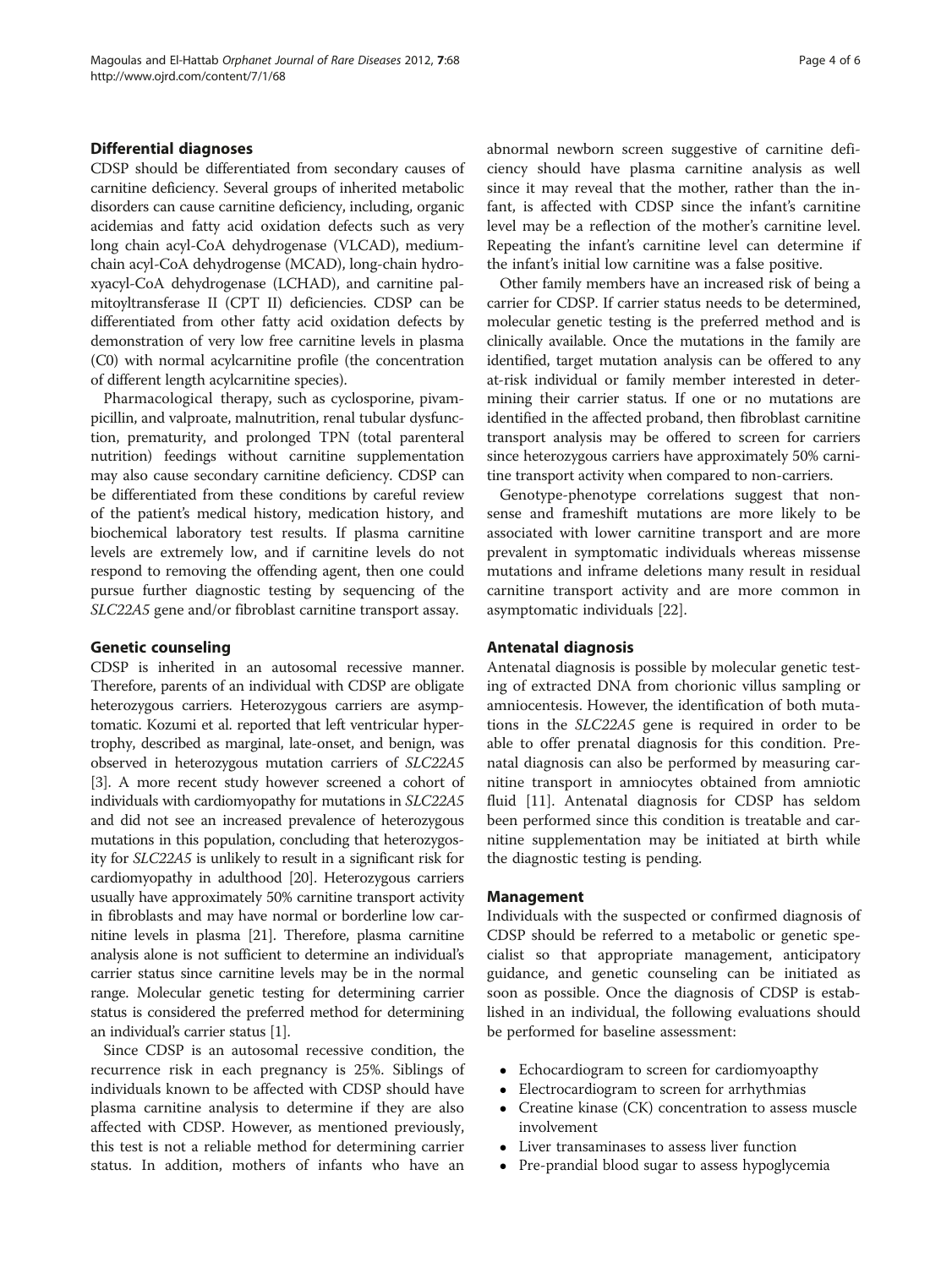## Differential diagnoses

CDSP should be differentiated from secondary causes of carnitine deficiency. Several groups of inherited metabolic disorders can cause carnitine deficiency, including, organic acidemias and fatty acid oxidation defects such as very long chain acyl-CoA dehydrogenase (VLCAD), mediumchain acyl-CoA dehydrogense (MCAD), long-chain hydroxyacyl-CoA dehydrogenase (LCHAD), and carnitine palmitoyltransferase II (CPT II) deficiencies. CDSP can be differentiated from other fatty acid oxidation defects by demonstration of very low free carnitine levels in plasma (C0) with normal acylcarnitine profile (the concentration of different length acylcarnitine species).

Pharmacological therapy, such as cyclosporine, pivampicillin, and valproate, malnutrition, renal tubular dysfunction, prematurity, and prolonged TPN (total parenteral nutrition) feedings without carnitine supplementation may also cause secondary carnitine deficiency. CDSP can be differentiated from these conditions by careful review of the patient's medical history, medication history, and biochemical laboratory test results. If plasma carnitine levels are extremely low, and if carnitine levels do not respond to removing the offending agent, then one could pursue further diagnostic testing by sequencing of the SLC22A5 gene and/or fibroblast carnitine transport assay.

## Genetic counseling

CDSP is inherited in an autosomal recessive manner. Therefore, parents of an individual with CDSP are obligate heterozygous carriers. Heterozygous carriers are asymptomatic. Kozumi et al. reported that left ventricular hypertrophy, described as marginal, late-onset, and benign, was observed in heterozygous mutation carriers of SLC22A5 [[3](#page-5-0)]. A more recent study however screened a cohort of individuals with cardiomyopathy for mutations in SLC22A5 and did not see an increased prevalence of heterozygous mutations in this population, concluding that heterozygosity for SLC22A5 is unlikely to result in a significant risk for cardiomyopathy in adulthood [[20](#page-5-0)]. Heterozygous carriers usually have approximately 50% carnitine transport activity in fibroblasts and may have normal or borderline low carnitine levels in plasma [\[21\]](#page-5-0). Therefore, plasma carnitine analysis alone is not sufficient to determine an individual's carrier status since carnitine levels may be in the normal range. Molecular genetic testing for determining carrier status is considered the preferred method for determining an individual's carrier status [\[1\]](#page-5-0).

Since CDSP is an autosomal recessive condition, the recurrence risk in each pregnancy is 25%. Siblings of individuals known to be affected with CDSP should have plasma carnitine analysis to determine if they are also affected with CDSP. However, as mentioned previously, this test is not a reliable method for determining carrier status. In addition, mothers of infants who have an

abnormal newborn screen suggestive of carnitine deficiency should have plasma carnitine analysis as well since it may reveal that the mother, rather than the infant, is affected with CDSP since the infant's carnitine level may be a reflection of the mother's carnitine level. Repeating the infant's carnitine level can determine if the infant's initial low carnitine was a false positive.

Other family members have an increased risk of being a carrier for CDSP. If carrier status needs to be determined, molecular genetic testing is the preferred method and is clinically available. Once the mutations in the family are identified, target mutation analysis can be offered to any at-risk individual or family member interested in determining their carrier status. If one or no mutations are identified in the affected proband, then fibroblast carnitine transport analysis may be offered to screen for carriers since heterozygous carriers have approximately 50% carnitine transport activity when compared to non-carriers.

Genotype-phenotype correlations suggest that nonsense and frameshift mutations are more likely to be associated with lower carnitine transport and are more prevalent in symptomatic individuals whereas missense mutations and inframe deletions many result in residual carnitine transport activity and are more common in asymptomatic individuals [[22\]](#page-5-0).

## Antenatal diagnosis

Antenatal diagnosis is possible by molecular genetic testing of extracted DNA from chorionic villus sampling or amniocentesis. However, the identification of both mutations in the SLC22A5 gene is required in order to be able to offer prenatal diagnosis for this condition. Prenatal diagnosis can also be performed by measuring carnitine transport in amniocytes obtained from amniotic fluid [\[11](#page-5-0)]. Antenatal diagnosis for CDSP has seldom been performed since this condition is treatable and carnitine supplementation may be initiated at birth while the diagnostic testing is pending.

#### Management

Individuals with the suspected or confirmed diagnosis of CDSP should be referred to a metabolic or genetic specialist so that appropriate management, anticipatory guidance, and genetic counseling can be initiated as soon as possible. Once the diagnosis of CDSP is established in an individual, the following evaluations should be performed for baseline assessment:

- Echocardiogram to screen for cardiomyoapthy
- Electrocardiogram to screen for arrhythmias
- Creatine kinase (CK) concentration to assess muscle involvement
- Liver transaminases to assess liver function
- Pre-prandial blood sugar to assess hypoglycemia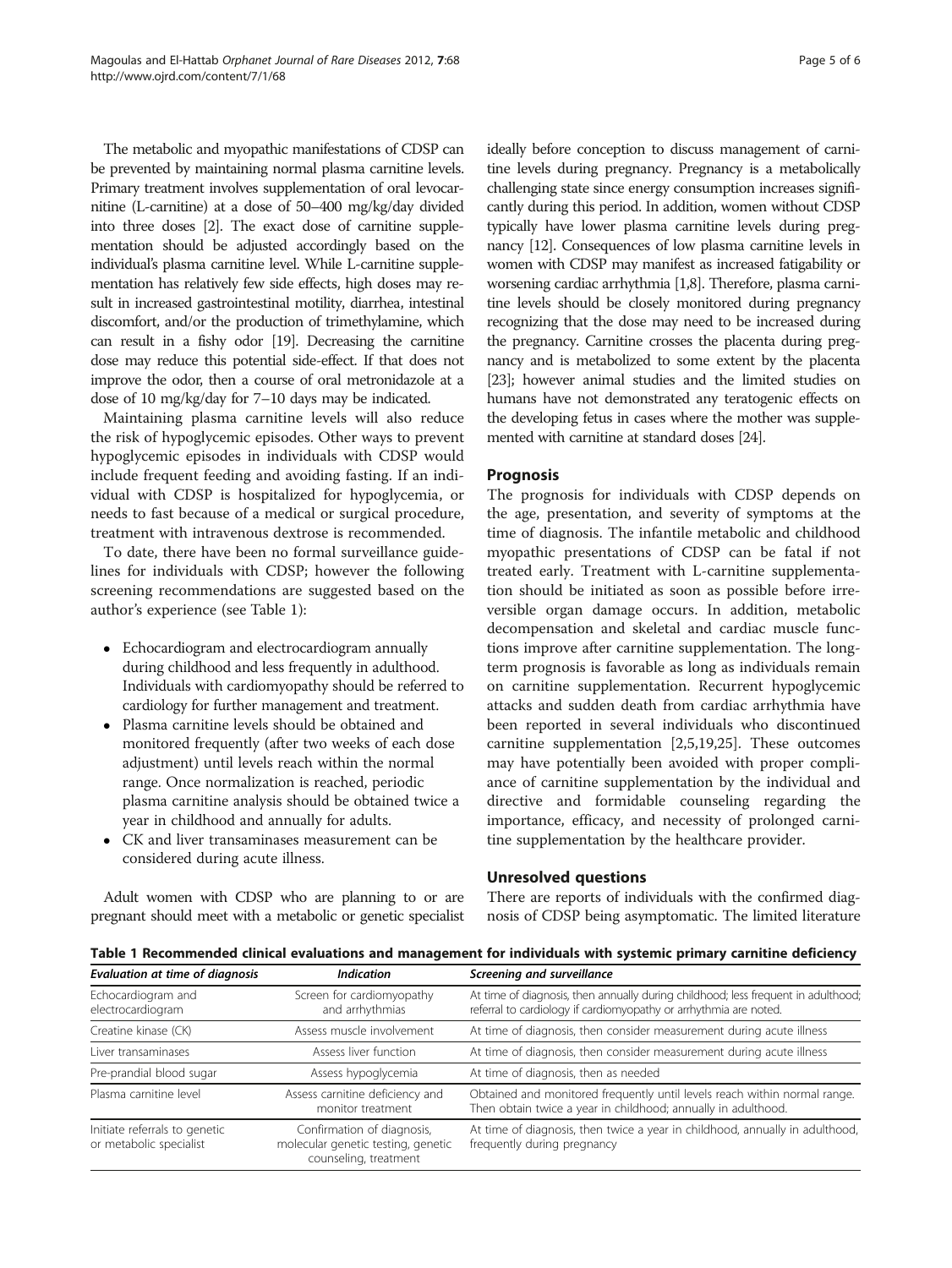The metabolic and myopathic manifestations of CDSP can be prevented by maintaining normal plasma carnitine levels. Primary treatment involves supplementation of oral levocarnitine (L-carnitine) at a dose of 50–400 mg/kg/day divided into three doses [\[2\]](#page-5-0). The exact dose of carnitine supplementation should be adjusted accordingly based on the individual's plasma carnitine level. While L-carnitine supplementation has relatively few side effects, high doses may result in increased gastrointestinal motility, diarrhea, intestinal discomfort, and/or the production of trimethylamine, which can result in a fishy odor [\[19](#page-5-0)]. Decreasing the carnitine dose may reduce this potential side-effect. If that does not improve the odor, then a course of oral metronidazole at a dose of 10 mg/kg/day for 7–10 days may be indicated.

Maintaining plasma carnitine levels will also reduce the risk of hypoglycemic episodes. Other ways to prevent hypoglycemic episodes in individuals with CDSP would include frequent feeding and avoiding fasting. If an individual with CDSP is hospitalized for hypoglycemia, or needs to fast because of a medical or surgical procedure, treatment with intravenous dextrose is recommended.

To date, there have been no formal surveillance guidelines for individuals with CDSP; however the following screening recommendations are suggested based on the author's experience (see Table 1):

- Echocardiogram and electrocardiogram annually during childhood and less frequently in adulthood. Individuals with cardiomyopathy should be referred to cardiology for further management and treatment.
- Plasma carnitine levels should be obtained and monitored frequently (after two weeks of each dose adjustment) until levels reach within the normal range. Once normalization is reached, periodic plasma carnitine analysis should be obtained twice a year in childhood and annually for adults.
- CK and liver transaminases measurement can be considered during acute illness.

Adult women with CDSP who are planning to or are pregnant should meet with a metabolic or genetic specialist ideally before conception to discuss management of carnitine levels during pregnancy. Pregnancy is a metabolically challenging state since energy consumption increases significantly during this period. In addition, women without CDSP typically have lower plasma carnitine levels during pregnancy [\[12](#page-5-0)]. Consequences of low plasma carnitine levels in women with CDSP may manifest as increased fatigability or worsening cardiac arrhythmia [\[1,8](#page-5-0)]. Therefore, plasma carnitine levels should be closely monitored during pregnancy recognizing that the dose may need to be increased during the pregnancy. Carnitine crosses the placenta during pregnancy and is metabolized to some extent by the placenta [[23\]](#page-5-0); however animal studies and the limited studies on humans have not demonstrated any teratogenic effects on the developing fetus in cases where the mother was supplemented with carnitine at standard doses [\[24](#page-5-0)].

## Prognosis

The prognosis for individuals with CDSP depends on the age, presentation, and severity of symptoms at the time of diagnosis. The infantile metabolic and childhood myopathic presentations of CDSP can be fatal if not treated early. Treatment with L-carnitine supplementation should be initiated as soon as possible before irreversible organ damage occurs. In addition, metabolic decompensation and skeletal and cardiac muscle functions improve after carnitine supplementation. The longterm prognosis is favorable as long as individuals remain on carnitine supplementation. Recurrent hypoglycemic attacks and sudden death from cardiac arrhythmia have been reported in several individuals who discontinued carnitine supplementation [[2,5,19,25\]](#page-5-0). These outcomes may have potentially been avoided with proper compliance of carnitine supplementation by the individual and directive and formidable counseling regarding the importance, efficacy, and necessity of prolonged carnitine supplementation by the healthcare provider.

### Unresolved questions

There are reports of individuals with the confirmed diagnosis of CDSP being asymptomatic. The limited literature

Table 1 Recommended clinical evaluations and management for individuals with systemic primary carnitine deficiency

| Evaluation at time of diagnosis                          | <b>Indication</b>                                                                         | Screening and surveillance                                                                                                                             |
|----------------------------------------------------------|-------------------------------------------------------------------------------------------|--------------------------------------------------------------------------------------------------------------------------------------------------------|
| Echocardiogram and<br>electrocardiogram                  | Screen for cardiomyopathy<br>and arrhythmias                                              | At time of diagnosis, then annually during childhood; less frequent in adulthood;<br>referral to cardiology if cardiomyopathy or arrhythmia are noted. |
| Creatine kinase (CK)                                     | Assess muscle involvement                                                                 | At time of diagnosis, then consider measurement during acute illness                                                                                   |
| Liver transaminases                                      | Assess liver function                                                                     | At time of diagnosis, then consider measurement during acute illness                                                                                   |
| Pre-prandial blood sugar                                 | Assess hypoglycemia                                                                       | At time of diagnosis, then as needed                                                                                                                   |
| Plasma carnitine level                                   | Assess carnitine deficiency and<br>monitor treatment                                      | Obtained and monitored frequently until levels reach within normal range.<br>Then obtain twice a year in childhood; annually in adulthood.             |
| Initiate referrals to genetic<br>or metabolic specialist | Confirmation of diagnosis,<br>molecular genetic testing, genetic<br>counseling, treatment | At time of diagnosis, then twice a year in childhood, annually in adulthood,<br>frequently during pregnancy                                            |